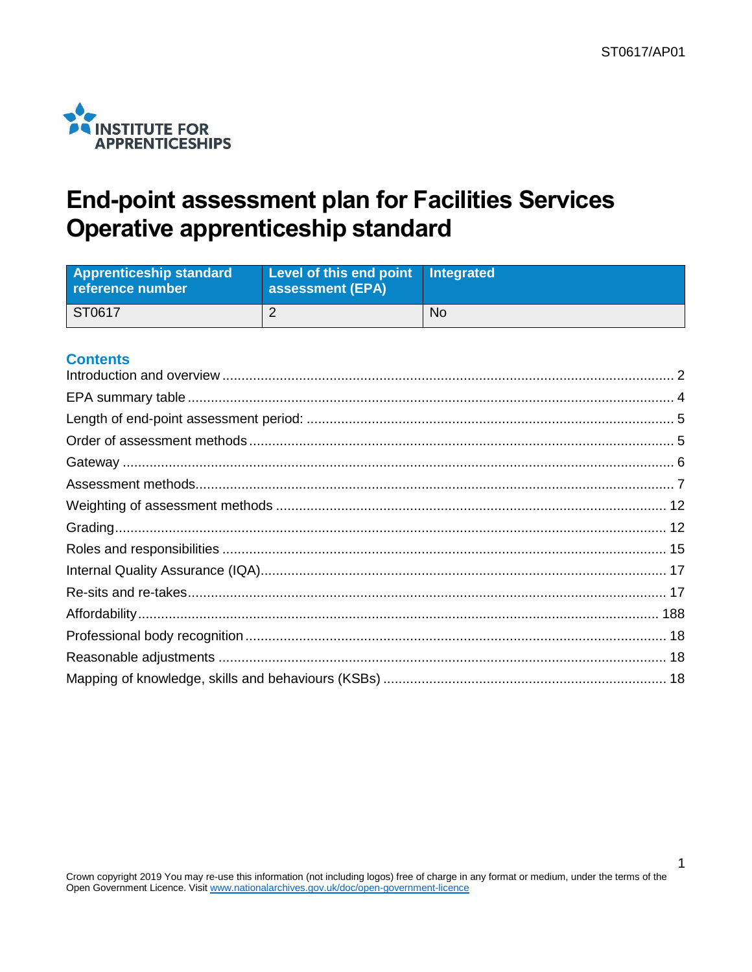

# **End-point assessment plan for Facilities Services Operative apprenticeship standard**

| <b>Apprenticeship standard</b><br>reference number | Level of this end point Integrated<br><b>assessment (EPA)</b> |    |
|----------------------------------------------------|---------------------------------------------------------------|----|
| ST0617                                             |                                                               | No |

### **Contents**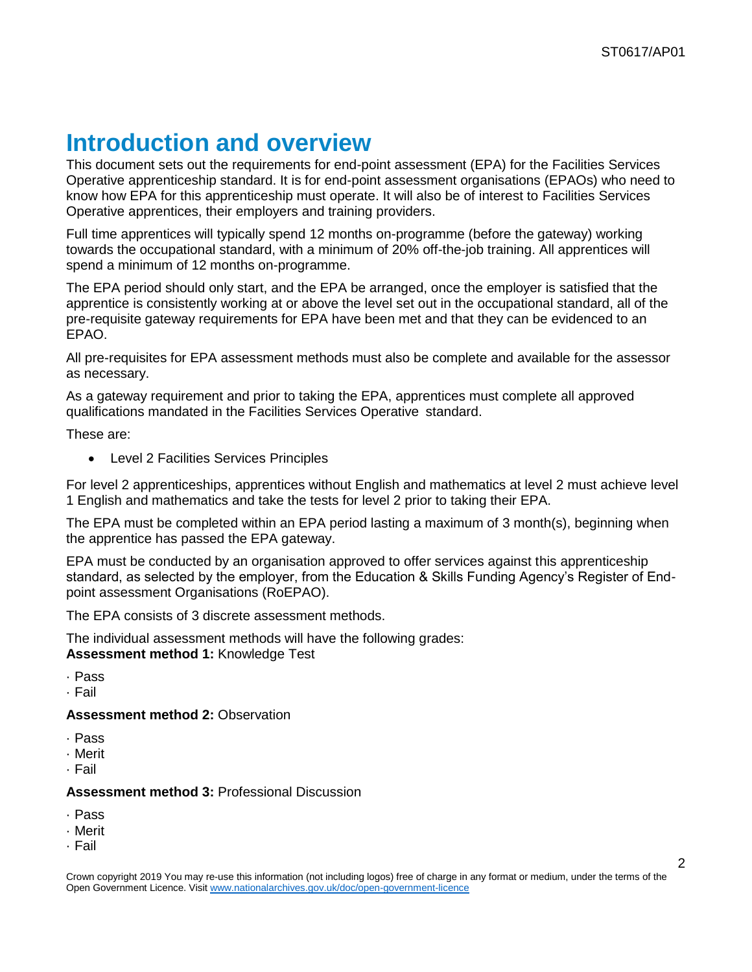# <span id="page-1-0"></span>**Introduction and overview**

This document sets out the requirements for end-point assessment (EPA) for the Facilities Services Operative apprenticeship standard. It is for end-point assessment organisations (EPAOs) who need to know how EPA for this apprenticeship must operate. It will also be of interest to Facilities Services Operative apprentices, their employers and training providers.

Full time apprentices will typically spend 12 months on-programme (before the gateway) working towards the occupational standard, with a minimum of 20% off-the-job training. All apprentices will spend a minimum of 12 months on-programme.

The EPA period should only start, and the EPA be arranged, once the employer is satisfied that the apprentice is consistently working at or above the level set out in the occupational standard, all of the pre-requisite gateway requirements for EPA have been met and that they can be evidenced to an EPAO.

All pre-requisites for EPA assessment methods must also be complete and available for the assessor as necessary.

As a gateway requirement and prior to taking the EPA, apprentices must complete all approved qualifications mandated in the Facilities Services Operative standard.

These are:

Level 2 Facilities Services Principles

For level 2 apprenticeships, apprentices without English and mathematics at level 2 must achieve level 1 English and mathematics and take the tests for level 2 prior to taking their EPA.

The EPA must be completed within an EPA period lasting a maximum of 3 month(s), beginning when the apprentice has passed the EPA gateway.

EPA must be conducted by an organisation approved to offer services against this apprenticeship standard, as selected by the employer, from the Education & Skills Funding Agency's Register of Endpoint assessment Organisations (RoEPAO).

The EPA consists of 3 discrete assessment methods.

The individual assessment methods will have the following grades: **Assessment method 1:** Knowledge Test

· Pass

· Fail

### **Assessment method 2:** Observation

- · Pass
- · Merit
- · Fail

### **Assessment method 3:** Professional Discussion

- · Pass
- · Merit
- · Fail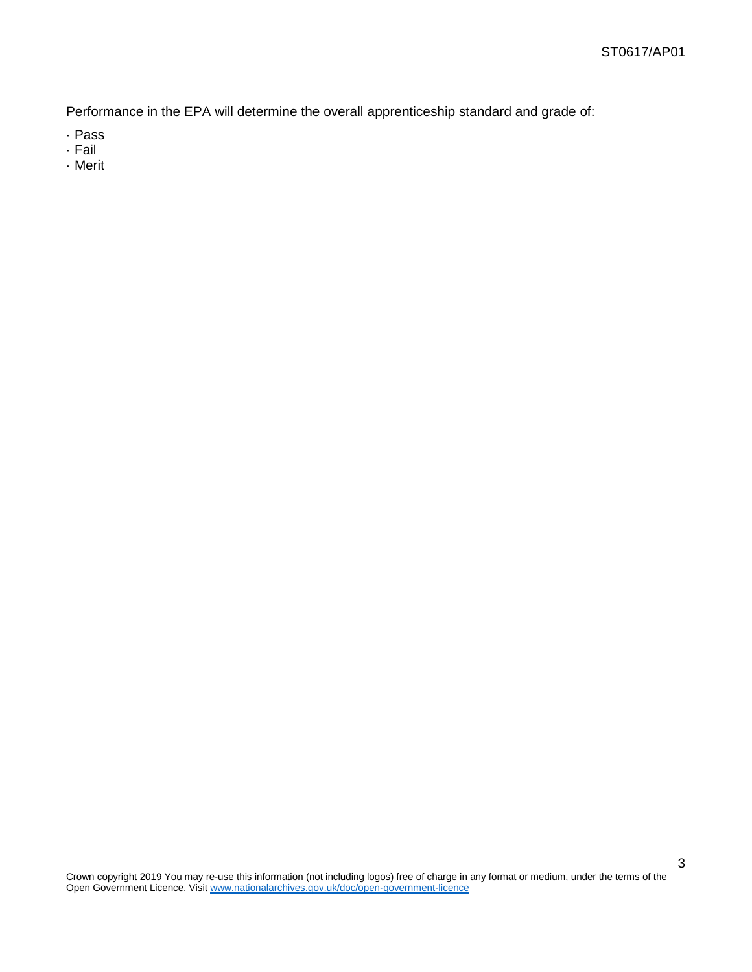Performance in the EPA will determine the overall apprenticeship standard and grade of:

- · Pass
- · Fail
- · Merit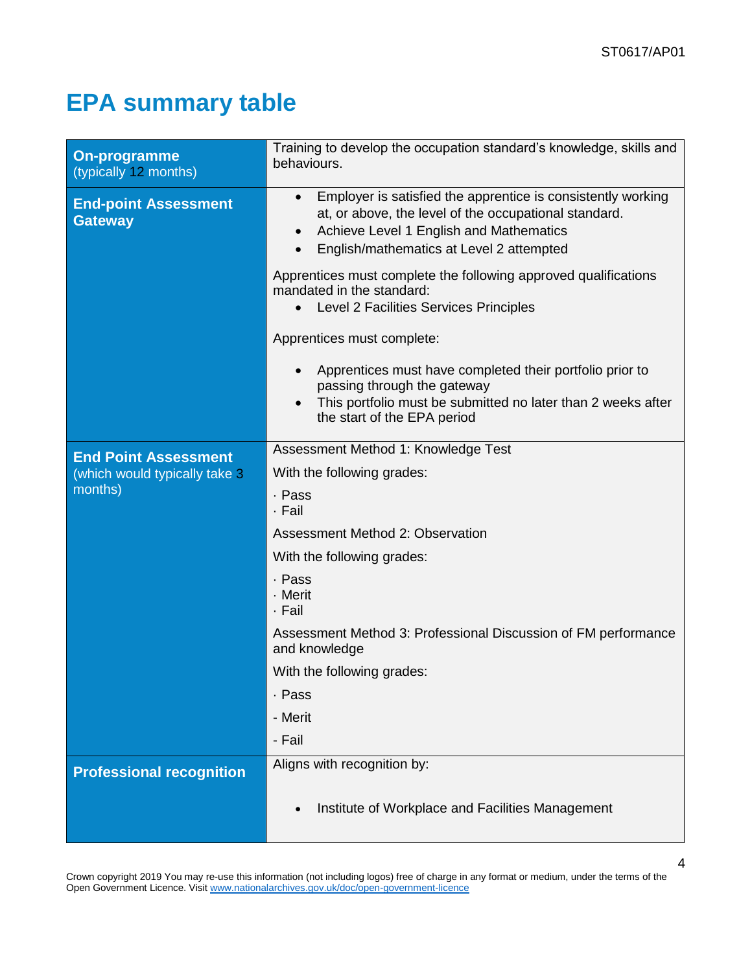# <span id="page-3-0"></span>**EPA summary table**

| On-programme<br>(typically 12 months)         | Training to develop the occupation standard's knowledge, skills and<br>behaviours.                                                                                                                                                     |  |
|-----------------------------------------------|----------------------------------------------------------------------------------------------------------------------------------------------------------------------------------------------------------------------------------------|--|
| <b>End-point Assessment</b><br><b>Gateway</b> | Employer is satisfied the apprentice is consistently working<br>$\bullet$<br>at, or above, the level of the occupational standard.<br>Achieve Level 1 English and Mathematics<br>$\bullet$<br>English/mathematics at Level 2 attempted |  |
|                                               | Apprentices must complete the following approved qualifications<br>mandated in the standard:<br><b>Level 2 Facilities Services Principles</b>                                                                                          |  |
|                                               | Apprentices must complete:                                                                                                                                                                                                             |  |
|                                               | Apprentices must have completed their portfolio prior to<br>$\bullet$<br>passing through the gateway<br>This portfolio must be submitted no later than 2 weeks after<br>the start of the EPA period                                    |  |
| <b>End Point Assessment</b>                   | Assessment Method 1: Knowledge Test                                                                                                                                                                                                    |  |
| (which would typically take 3                 | With the following grades:                                                                                                                                                                                                             |  |
| months)                                       | · Pass<br>· Fail                                                                                                                                                                                                                       |  |
|                                               | Assessment Method 2: Observation                                                                                                                                                                                                       |  |
|                                               | With the following grades:                                                                                                                                                                                                             |  |
|                                               | . Pass<br>- Merit<br>· Fail                                                                                                                                                                                                            |  |
|                                               | Assessment Method 3: Professional Discussion of FM performance<br>and knowledge                                                                                                                                                        |  |
|                                               | With the following grades:                                                                                                                                                                                                             |  |
|                                               | . Pass                                                                                                                                                                                                                                 |  |
|                                               | - Merit                                                                                                                                                                                                                                |  |
|                                               | - Fail                                                                                                                                                                                                                                 |  |
| <b>Professional recognition</b>               | Aligns with recognition by:                                                                                                                                                                                                            |  |
|                                               | Institute of Workplace and Facilities Management                                                                                                                                                                                       |  |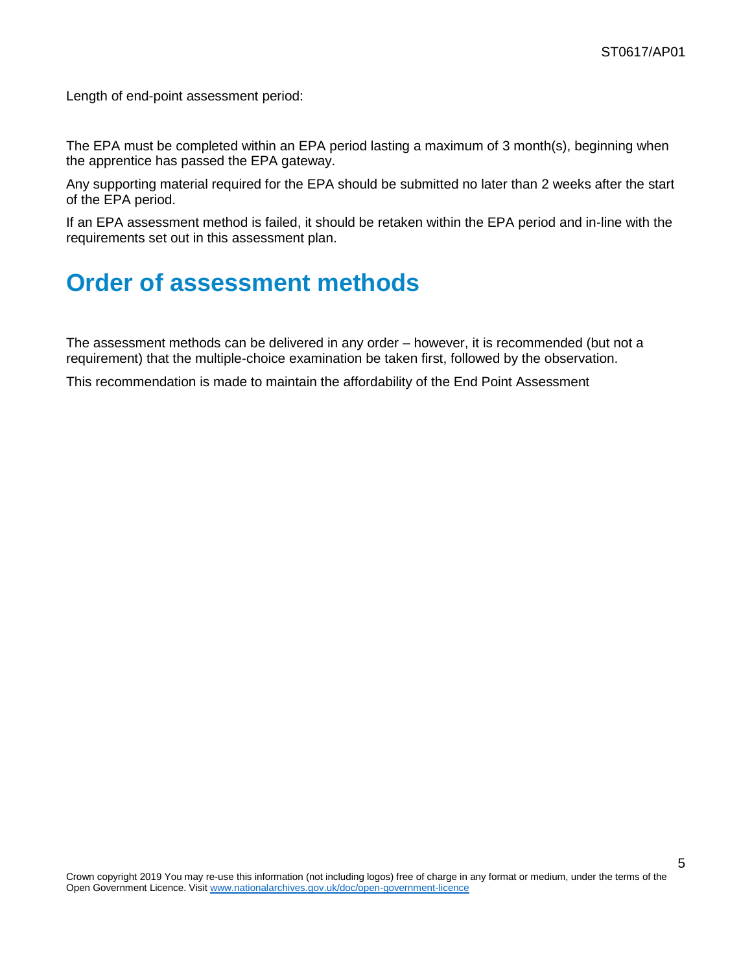<span id="page-4-0"></span>Length of end-point assessment period:

The EPA must be completed within an EPA period lasting a maximum of 3 month(s), beginning when the apprentice has passed the EPA gateway.

Any supporting material required for the EPA should be submitted no later than 2 weeks after the start of the EPA period.

If an EPA assessment method is failed, it should be retaken within the EPA period and in-line with the requirements set out in this assessment plan.

# <span id="page-4-1"></span>**Order of assessment methods**

The assessment methods can be delivered in any order – however, it is recommended (but not a requirement) that the multiple-choice examination be taken first, followed by the observation.

This recommendation is made to maintain the affordability of the End Point Assessment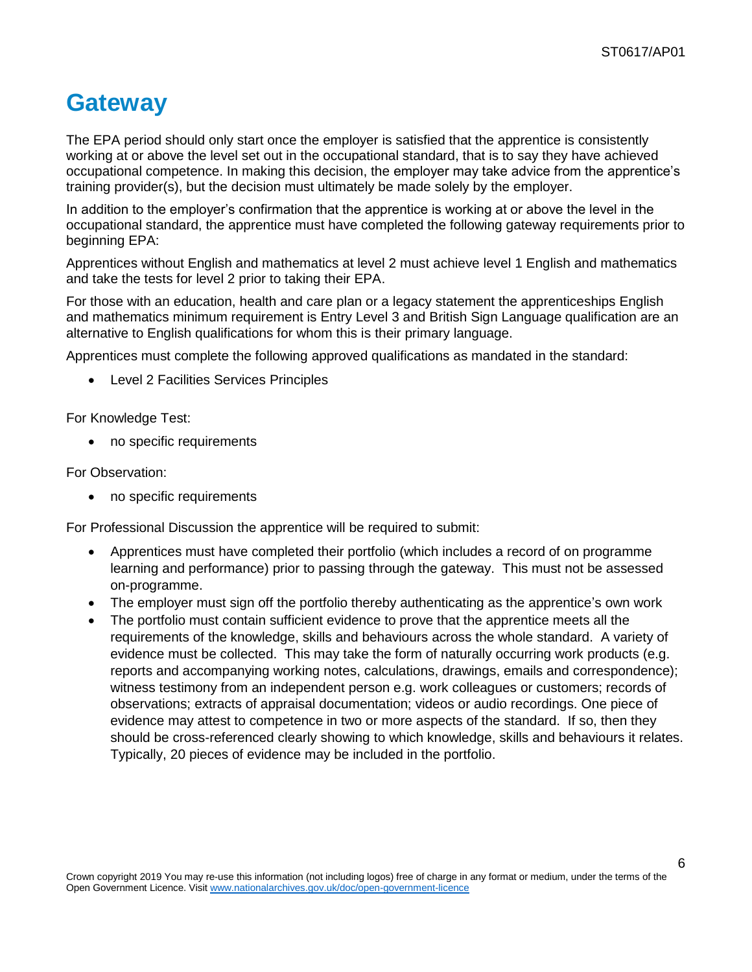# <span id="page-5-0"></span>**Gateway**

The EPA period should only start once the employer is satisfied that the apprentice is consistently working at or above the level set out in the occupational standard, that is to say they have achieved occupational competence. In making this decision, the employer may take advice from the apprentice's training provider(s), but the decision must ultimately be made solely by the employer.

In addition to the employer's confirmation that the apprentice is working at or above the level in the occupational standard, the apprentice must have completed the following gateway requirements prior to beginning EPA:

Apprentices without English and mathematics at level 2 must achieve level 1 English and mathematics and take the tests for level 2 prior to taking their EPA.

For those with an education, health and care plan or a legacy statement the apprenticeships English and mathematics minimum requirement is Entry Level 3 and British Sign Language qualification are an alternative to English qualifications for whom this is their primary language.

Apprentices must complete the following approved qualifications as mandated in the standard:

Level 2 Facilities Services Principles

For Knowledge Test:

• no specific requirements

For Observation:

no specific requirements

For Professional Discussion the apprentice will be required to submit:

- Apprentices must have completed their portfolio (which includes a record of on programme learning and performance) prior to passing through the gateway. This must not be assessed on-programme.
- The employer must sign off the portfolio thereby authenticating as the apprentice's own work
- The portfolio must contain sufficient evidence to prove that the apprentice meets all the requirements of the knowledge, skills and behaviours across the whole standard. A variety of evidence must be collected. This may take the form of naturally occurring work products (e.g. reports and accompanying working notes, calculations, drawings, emails and correspondence); witness testimony from an independent person e.g. work colleagues or customers; records of observations; extracts of appraisal documentation; videos or audio recordings. One piece of evidence may attest to competence in two or more aspects of the standard. If so, then they should be cross-referenced clearly showing to which knowledge, skills and behaviours it relates. Typically, 20 pieces of evidence may be included in the portfolio.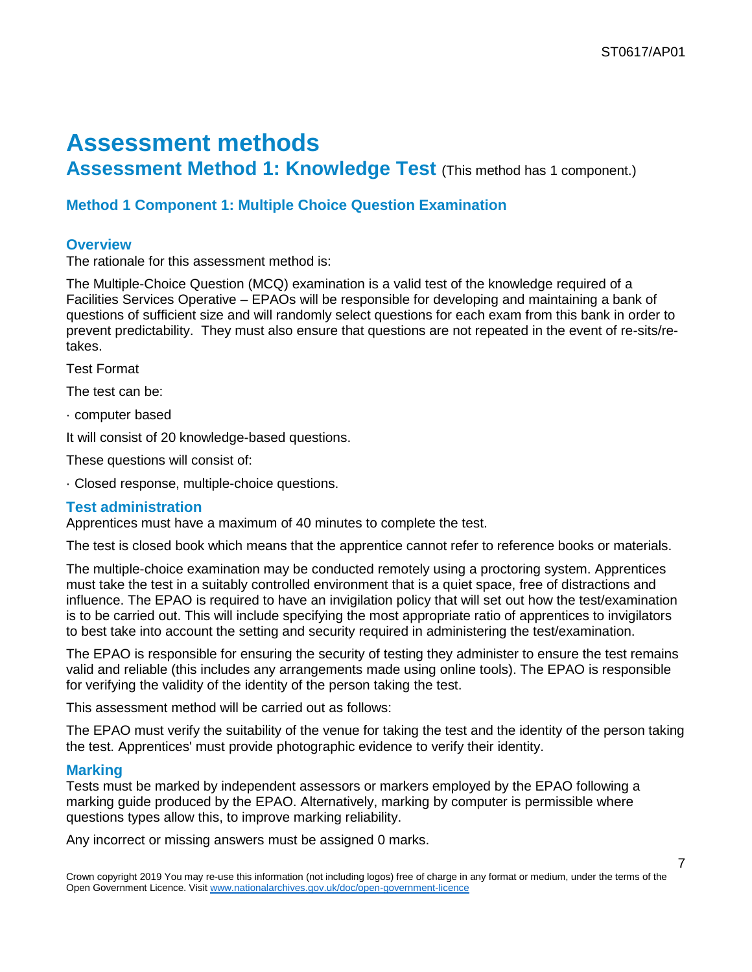# <span id="page-6-0"></span>**Assessment methods**

**Assessment Method 1: Knowledge Test** (This method has 1 component.)

### **Method 1 Component 1: Multiple Choice Question Examination**

### **Overview**

The rationale for this assessment method is:

The Multiple-Choice Question (MCQ) examination is a valid test of the knowledge required of a Facilities Services Operative – EPAOs will be responsible for developing and maintaining a bank of questions of sufficient size and will randomly select questions for each exam from this bank in order to prevent predictability. They must also ensure that questions are not repeated in the event of re-sits/retakes.

Test Format

The test can be:

· computer based

It will consist of 20 knowledge-based questions.

These questions will consist of:

· Closed response, multiple-choice questions.

#### **Test administration**

Apprentices must have a maximum of 40 minutes to complete the test.

The test is closed book which means that the apprentice cannot refer to reference books or materials.

The multiple-choice examination may be conducted remotely using a proctoring system. Apprentices must take the test in a suitably controlled environment that is a quiet space, free of distractions and influence. The EPAO is required to have an invigilation policy that will set out how the test/examination is to be carried out. This will include specifying the most appropriate ratio of apprentices to invigilators to best take into account the setting and security required in administering the test/examination.

The EPAO is responsible for ensuring the security of testing they administer to ensure the test remains valid and reliable (this includes any arrangements made using online tools). The EPAO is responsible for verifying the validity of the identity of the person taking the test.

This assessment method will be carried out as follows:

The EPAO must verify the suitability of the venue for taking the test and the identity of the person taking the test. Apprentices' must provide photographic evidence to verify their identity.

#### **Marking**

Tests must be marked by independent assessors or markers employed by the EPAO following a marking guide produced by the EPAO. Alternatively, marking by computer is permissible where questions types allow this, to improve marking reliability.

Any incorrect or missing answers must be assigned 0 marks.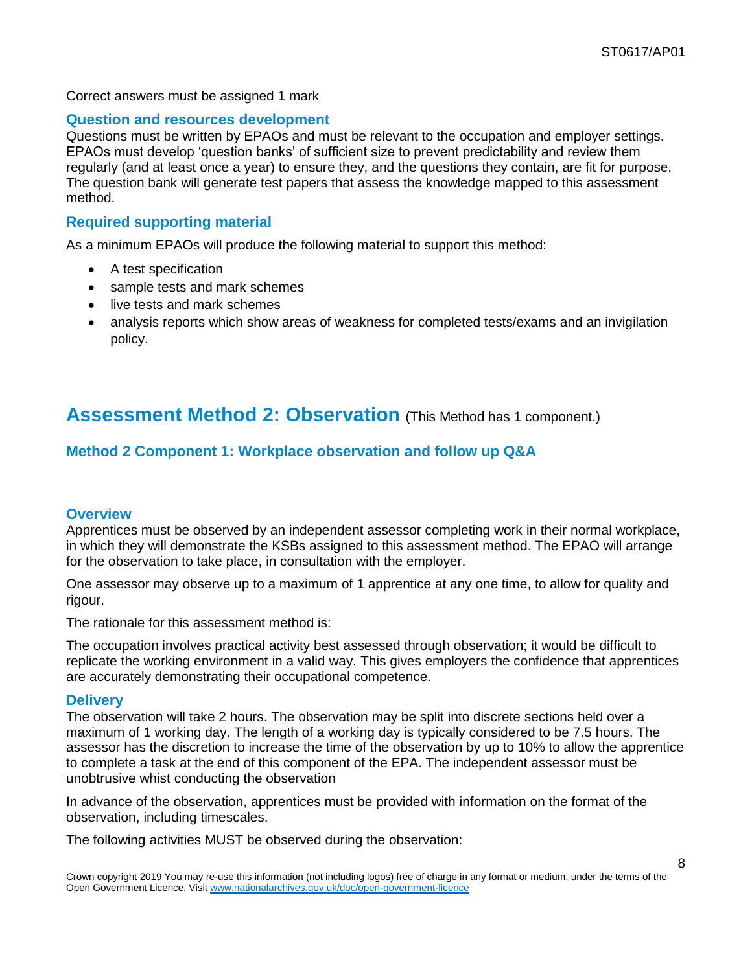Correct answers must be assigned 1 mark

#### **Question and resources development**

Questions must be written by EPAOs and must be relevant to the occupation and employer settings. EPAOs must develop 'question banks' of sufficient size to prevent predictability and review them regularly (and at least once a year) to ensure they, and the questions they contain, are fit for purpose. The question bank will generate test papers that assess the knowledge mapped to this assessment method.

### **Required supporting material**

As a minimum EPAOs will produce the following material to support this method:

- A test specification
- sample tests and mark schemes
- live tests and mark schemes
- analysis reports which show areas of weakness for completed tests/exams and an invigilation policy.

## **Assessment Method 2: Observation** (This Method has 1 component.)

### **Method 2 Component 1: Workplace observation and follow up Q&A**

### **Overview**

Apprentices must be observed by an independent assessor completing work in their normal workplace, in which they will demonstrate the KSBs assigned to this assessment method. The EPAO will arrange for the observation to take place, in consultation with the employer.

One assessor may observe up to a maximum of 1 apprentice at any one time, to allow for quality and rigour.

The rationale for this assessment method is:

The occupation involves practical activity best assessed through observation; it would be difficult to replicate the working environment in a valid way. This gives employers the confidence that apprentices are accurately demonstrating their occupational competence.

#### **Delivery**

The observation will take 2 hours. The observation may be split into discrete sections held over a maximum of 1 working day. The length of a working day is typically considered to be 7.5 hours. The assessor has the discretion to increase the time of the observation by up to 10% to allow the apprentice to complete a task at the end of this component of the EPA. The independent assessor must be unobtrusive whist conducting the observation

In advance of the observation, apprentices must be provided with information on the format of the observation, including timescales.

The following activities MUST be observed during the observation: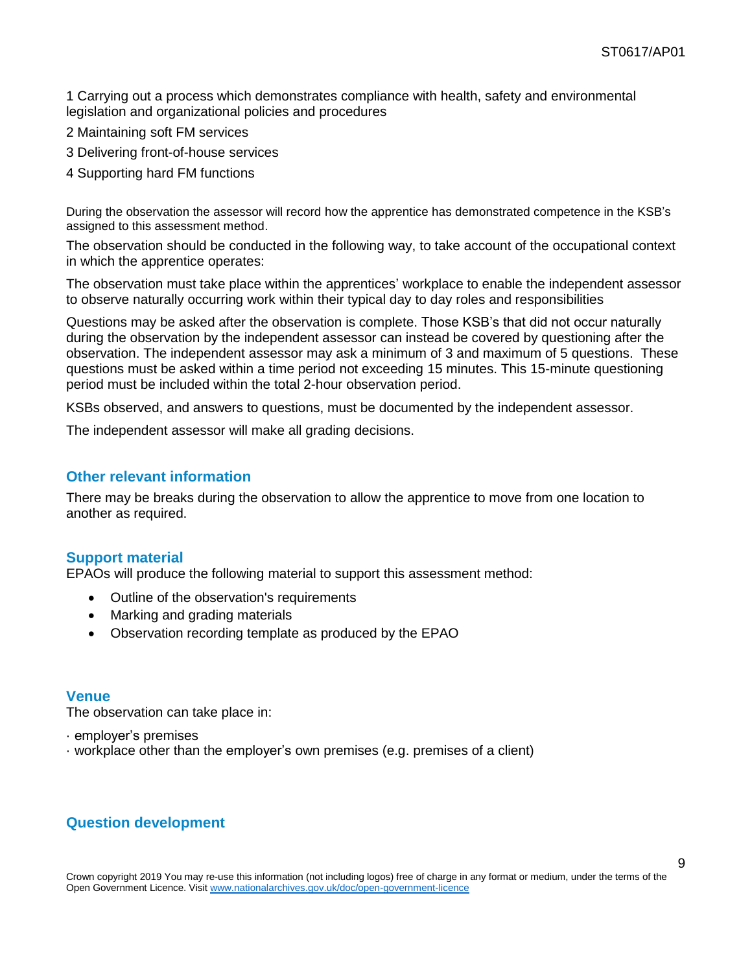1 Carrying out a process which demonstrates compliance with health, safety and environmental legislation and organizational policies and procedures

- 2 Maintaining soft FM services
- 3 Delivering front-of-house services
- 4 Supporting hard FM functions

During the observation the assessor will record how the apprentice has demonstrated competence in the KSB's assigned to this assessment method.

The observation should be conducted in the following way, to take account of the occupational context in which the apprentice operates:

The observation must take place within the apprentices' workplace to enable the independent assessor to observe naturally occurring work within their typical day to day roles and responsibilities

Questions may be asked after the observation is complete. Those KSB's that did not occur naturally during the observation by the independent assessor can instead be covered by questioning after the observation. The independent assessor may ask a minimum of 3 and maximum of 5 questions. These questions must be asked within a time period not exceeding 15 minutes. This 15-minute questioning period must be included within the total 2-hour observation period.

KSBs observed, and answers to questions, must be documented by the independent assessor.

The independent assessor will make all grading decisions.

#### **Other relevant information**

There may be breaks during the observation to allow the apprentice to move from one location to another as required.

### **Support material**

EPAOs will produce the following material to support this assessment method:

- Outline of the observation's requirements
- Marking and grading materials
- Observation recording template as produced by the EPAO

#### **Venue**

The observation can take place in:

- · employer's premises
- · workplace other than the employer's own premises (e.g. premises of a client)

### **Question development**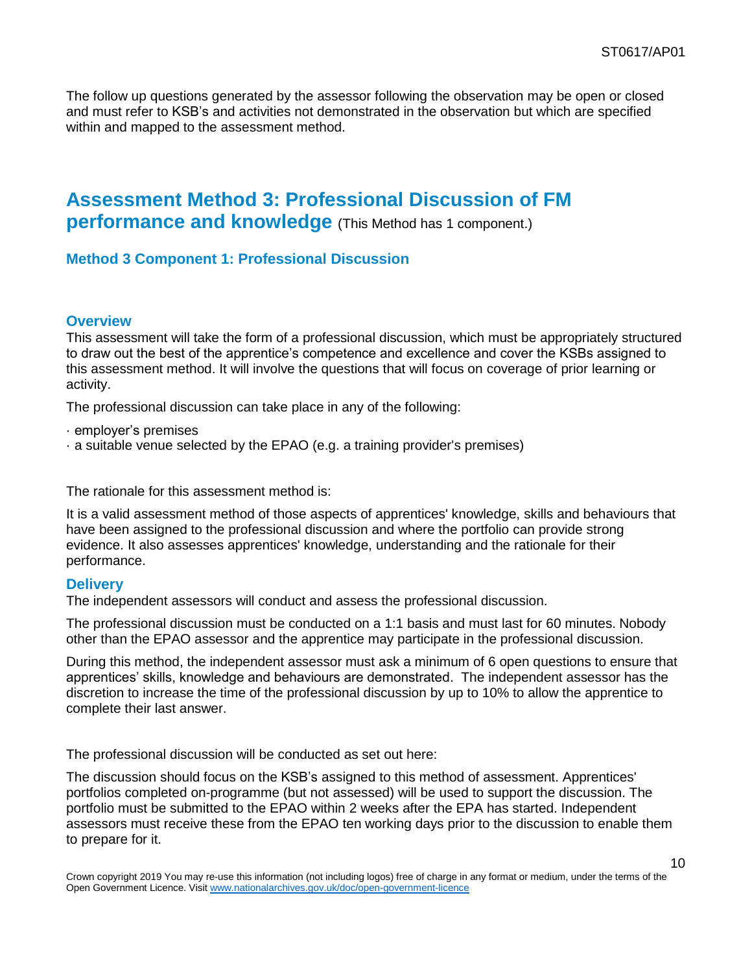The follow up questions generated by the assessor following the observation may be open or closed and must refer to KSB's and activities not demonstrated in the observation but which are specified within and mapped to the assessment method.

### **Assessment Method 3: Professional Discussion of FM performance and knowledge** (This Method has 1 component.)

### **Method 3 Component 1: Professional Discussion**

#### **Overview**

This assessment will take the form of a professional discussion, which must be appropriately structured to draw out the best of the apprentice's competence and excellence and cover the KSBs assigned to this assessment method. It will involve the questions that will focus on coverage of prior learning or activity.

The professional discussion can take place in any of the following:

- · employer's premises
- · a suitable venue selected by the EPAO (e.g. a training provider's premises)

The rationale for this assessment method is:

It is a valid assessment method of those aspects of apprentices' knowledge, skills and behaviours that have been assigned to the professional discussion and where the portfolio can provide strong evidence. It also assesses apprentices' knowledge, understanding and the rationale for their performance.

#### **Delivery**

The independent assessors will conduct and assess the professional discussion.

The professional discussion must be conducted on a 1:1 basis and must last for 60 minutes. Nobody other than the EPAO assessor and the apprentice may participate in the professional discussion.

During this method, the independent assessor must ask a minimum of 6 open questions to ensure that apprentices' skills, knowledge and behaviours are demonstrated. The independent assessor has the discretion to increase the time of the professional discussion by up to 10% to allow the apprentice to complete their last answer.

The professional discussion will be conducted as set out here:

The discussion should focus on the KSB's assigned to this method of assessment. Apprentices' portfolios completed on-programme (but not assessed) will be used to support the discussion. The portfolio must be submitted to the EPAO within 2 weeks after the EPA has started. Independent assessors must receive these from the EPAO ten working days prior to the discussion to enable them to prepare for it.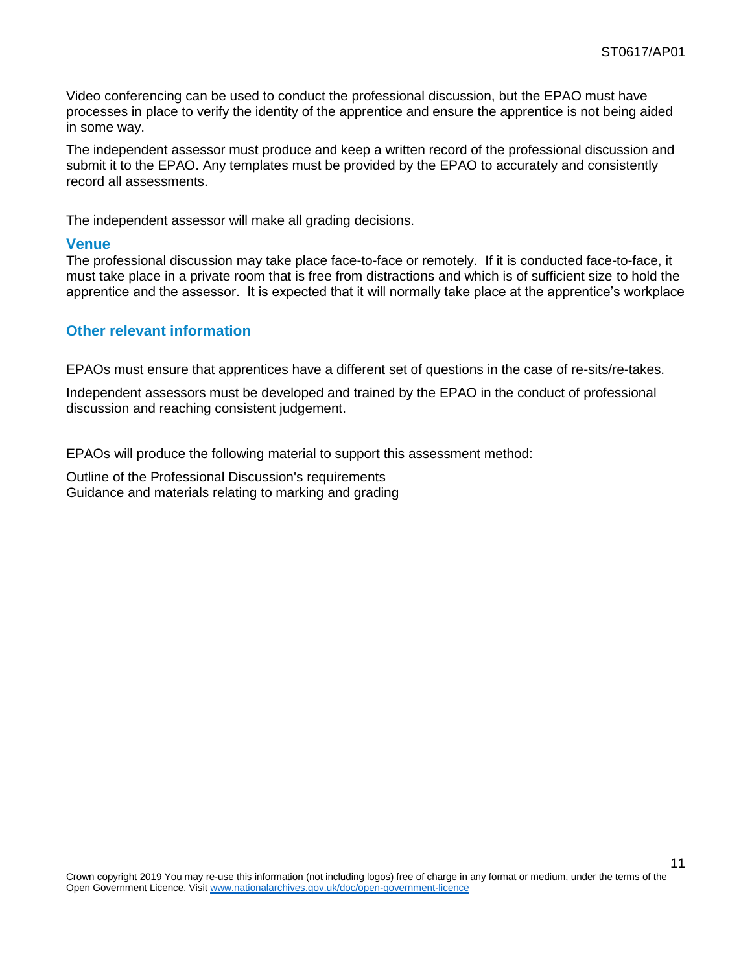Video conferencing can be used to conduct the professional discussion, but the EPAO must have processes in place to verify the identity of the apprentice and ensure the apprentice is not being aided in some way.

The independent assessor must produce and keep a written record of the professional discussion and submit it to the EPAO. Any templates must be provided by the EPAO to accurately and consistently record all assessments.

The independent assessor will make all grading decisions.

#### **Venue**

The professional discussion may take place face-to-face or remotely. If it is conducted face-to-face, it must take place in a private room that is free from distractions and which is of sufficient size to hold the apprentice and the assessor. It is expected that it will normally take place at the apprentice's workplace

#### **Other relevant information**

EPAOs must ensure that apprentices have a different set of questions in the case of re-sits/re-takes.

Independent assessors must be developed and trained by the EPAO in the conduct of professional discussion and reaching consistent judgement.

EPAOs will produce the following material to support this assessment method:

Outline of the Professional Discussion's requirements Guidance and materials relating to marking and grading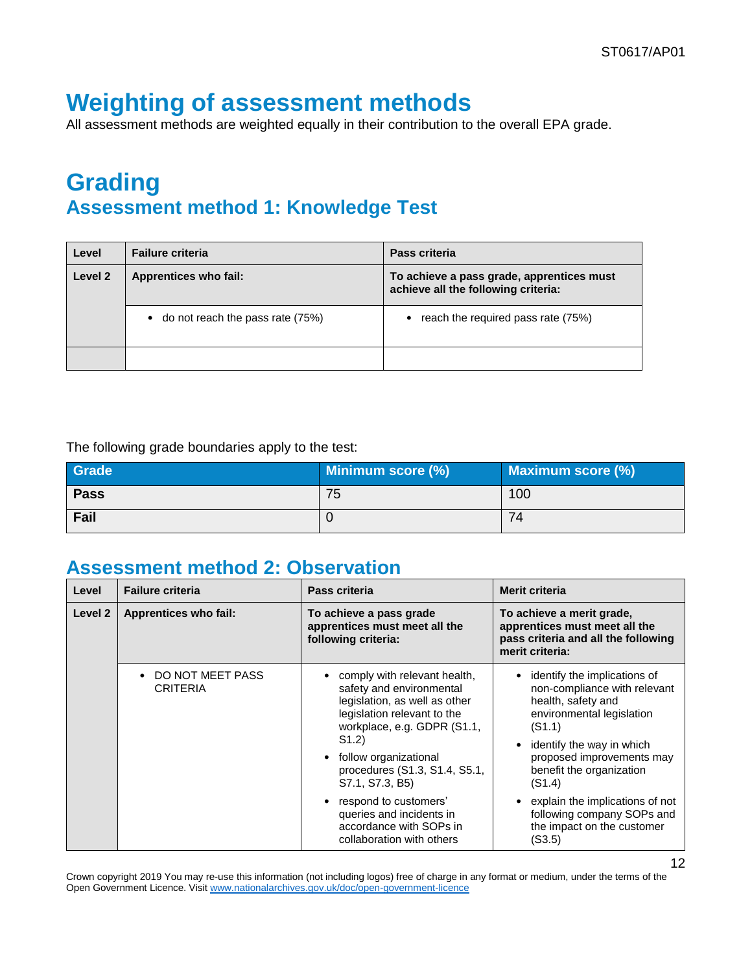# <span id="page-11-0"></span>**Weighting of assessment methods**

All assessment methods are weighted equally in their contribution to the overall EPA grade.

## <span id="page-11-1"></span>**Grading Assessment method 1: Knowledge Test**

| Level   | <b>Failure criteria</b>              | Pass criteria                                                                    |
|---------|--------------------------------------|----------------------------------------------------------------------------------|
| Level 2 | <b>Apprentices who fail:</b>         | To achieve a pass grade, apprentices must<br>achieve all the following criteria: |
|         | • do not reach the pass rate $(75%)$ | • reach the required pass rate $(75%)$                                           |
|         |                                      |                                                                                  |

#### The following grade boundaries apply to the test:

| Grade       | Minimum score (%) | <b>Maximum score (%)</b> |
|-------------|-------------------|--------------------------|
| <b>Pass</b> | 75                | 100                      |
| Fail        |                   | 74                       |

### **Assessment method 2: Observation**

| Level   | <b>Failure criteria</b>             | Pass criteria                                                                                                                                                                                                                                               | <b>Merit criteria</b>                                                                                                                                                                                                                  |
|---------|-------------------------------------|-------------------------------------------------------------------------------------------------------------------------------------------------------------------------------------------------------------------------------------------------------------|----------------------------------------------------------------------------------------------------------------------------------------------------------------------------------------------------------------------------------------|
| Level 2 | <b>Apprentices who fail:</b>        | To achieve a pass grade<br>apprentices must meet all the<br>following criteria:                                                                                                                                                                             | To achieve a merit grade,<br>apprentices must meet all the<br>pass criteria and all the following<br>merit criteria:                                                                                                                   |
|         | DO NOT MEET PASS<br><b>CRITERIA</b> | comply with relevant health,<br>safety and environmental<br>legislation, as well as other<br>legislation relevant to the<br>workplace, e.g. GDPR (S1.1,<br>S(1.2)<br>follow organizational<br>$\bullet$<br>procedures (S1.3, S1.4, S5.1,<br>S7.1, S7.3, B5) | identify the implications of<br>non-compliance with relevant<br>health, safety and<br>environmental legislation<br>(S1.1)<br>identify the way in which<br>$\bullet$<br>proposed improvements may<br>benefit the organization<br>(S1.4) |
|         |                                     | respond to customers'<br>$\bullet$<br>queries and incidents in<br>accordance with SOPs in<br>collaboration with others                                                                                                                                      | explain the implications of not<br>following company SOPs and<br>the impact on the customer<br>(S3.5)                                                                                                                                  |

Crown copyright 2019 You may re-use this information (not including logos) free of charge in any format or medium, under the terms of the Open Government Licence. Visi[t www.nationalarchives.gov.uk/doc/open-government-licence](http://www.nationalarchives.gov.uk/doc/open-government-licence)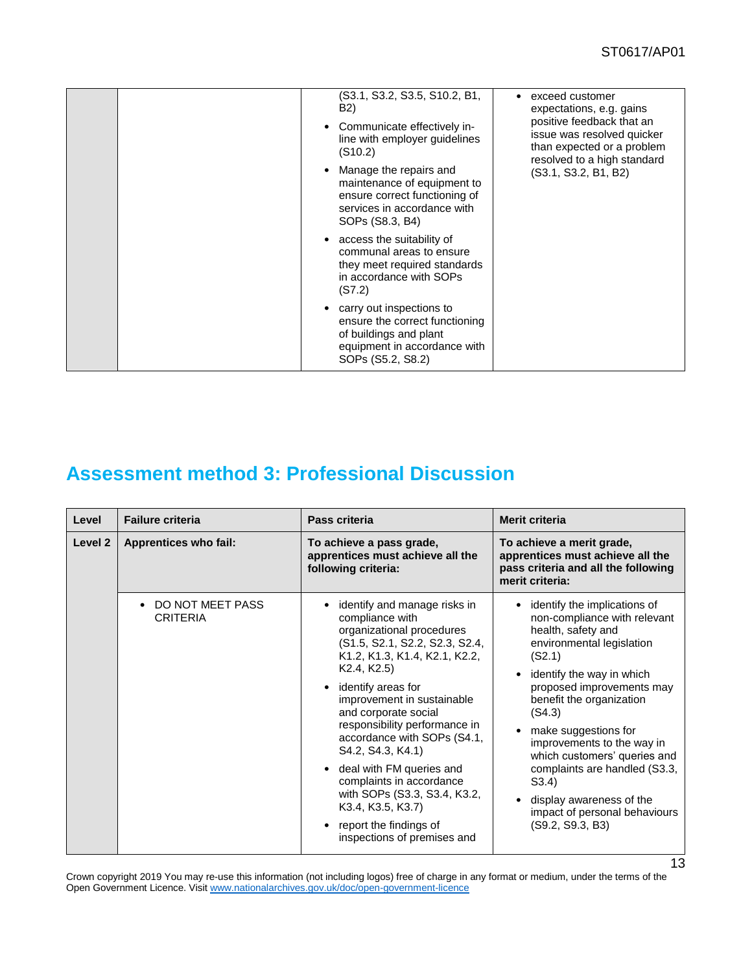| (S3.1, S3.2, S3.5, S10.2, B1,<br>B2)<br>Communicate effectively in-<br>$\bullet$<br>line with employer guidelines<br>(S10.2)<br>Manage the repairs and<br>maintenance of equipment to<br>ensure correct functioning of<br>services in accordance with<br>SOPs (S8.3, B4)<br>access the suitability of<br>$\bullet$<br>communal areas to ensure | exceed customer<br>٠<br>expectations, e.g. gains<br>positive feedback that an<br>issue was resolved quicker<br>than expected or a problem<br>resolved to a high standard<br>(S3.1, S3.2, B1, B2) |
|------------------------------------------------------------------------------------------------------------------------------------------------------------------------------------------------------------------------------------------------------------------------------------------------------------------------------------------------|--------------------------------------------------------------------------------------------------------------------------------------------------------------------------------------------------|
| they meet required standards<br>in accordance with SOPs<br>(S7.2)                                                                                                                                                                                                                                                                              |                                                                                                                                                                                                  |
| carry out inspections to<br>ensure the correct functioning<br>of buildings and plant<br>equipment in accordance with<br>SOPs (S5.2, S8.2)                                                                                                                                                                                                      |                                                                                                                                                                                                  |

## **Assessment method 3: Professional Discussion**

| Level   | <b>Failure criteria</b>             | Pass criteria                                                                                                                                                                                                                                                                                                                                                                                                                                                                                                                                                          | <b>Merit criteria</b>                                                                                                                                                                                                                                                                                                                                                                                                                                               |
|---------|-------------------------------------|------------------------------------------------------------------------------------------------------------------------------------------------------------------------------------------------------------------------------------------------------------------------------------------------------------------------------------------------------------------------------------------------------------------------------------------------------------------------------------------------------------------------------------------------------------------------|---------------------------------------------------------------------------------------------------------------------------------------------------------------------------------------------------------------------------------------------------------------------------------------------------------------------------------------------------------------------------------------------------------------------------------------------------------------------|
| Level 2 | <b>Apprentices who fail:</b>        | To achieve a pass grade,<br>apprentices must achieve all the<br>following criteria:                                                                                                                                                                                                                                                                                                                                                                                                                                                                                    | To achieve a merit grade,<br>apprentices must achieve all the<br>pass criteria and all the following<br>merit criteria:                                                                                                                                                                                                                                                                                                                                             |
|         | DO NOT MEET PASS<br><b>CRITERIA</b> | identify and manage risks in<br>compliance with<br>organizational procedures<br>(S1.5, S2.1, S2.2, S2.3, S2.4,<br>K1.2, K1.3, K1.4, K2.1, K2.2,<br>K <sub>2</sub> .4, K <sub>2</sub> .5)<br>identify areas for<br>$\bullet$<br>improvement in sustainable<br>and corporate social<br>responsibility performance in<br>accordance with SOPs (S4.1,<br>S4.2, S4.3, K4.1)<br>deal with FM queries and<br>$\bullet$<br>complaints in accordance<br>with SOPs (S3.3, S3.4, K3.2,<br>K3.4, K3.5, K3.7)<br>report the findings of<br>$\bullet$<br>inspections of premises and | identify the implications of<br>$\bullet$<br>non-compliance with relevant<br>health, safety and<br>environmental legislation<br>(S2.1)<br>identify the way in which<br>$\bullet$<br>proposed improvements may<br>benefit the organization<br>(S4.3)<br>make suggestions for<br>improvements to the way in<br>which customers' queries and<br>complaints are handled (S3.3,<br>S3.4<br>display awareness of the<br>impact of personal behaviours<br>(S9.2, S9.3, B3) |

Crown copyright 2019 You may re-use this information (not including logos) free of charge in any format or medium, under the terms of the Open Government Licence. Visi[t www.nationalarchives.gov.uk/doc/open-government-licence](http://www.nationalarchives.gov.uk/doc/open-government-licence)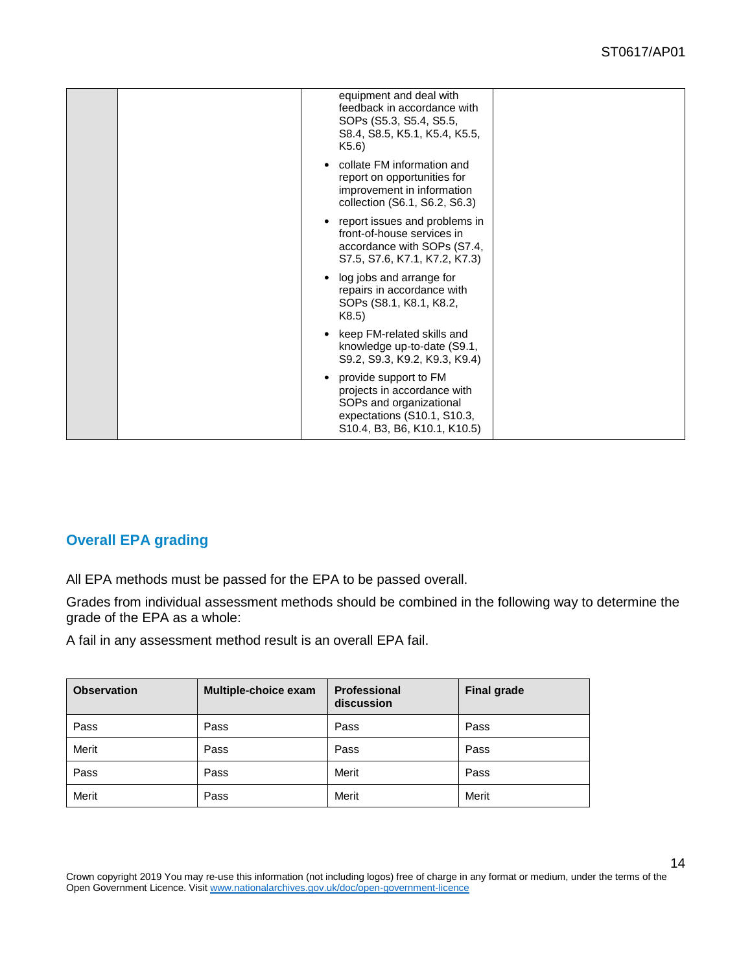| equipment and deal with<br>feedback in accordance with<br>SOPs (S5.3, S5.4, S5.5,<br>S8.4, S8.5, K5.1, K5.4, K5.5,<br>K5.6)                    |  |
|------------------------------------------------------------------------------------------------------------------------------------------------|--|
| collate FM information and<br>report on opportunities for<br>improvement in information<br>collection (S6.1, S6.2, S6.3)                       |  |
| report issues and problems in<br>front-of-house services in<br>accordance with SOPs (S7.4,<br>S7.5, S7.6, K7.1, K7.2, K7.3)                    |  |
| log jobs and arrange for<br>repairs in accordance with<br>SOPs (S8.1, K8.1, K8.2,<br>K8.5)                                                     |  |
| keep FM-related skills and<br>knowledge up-to-date (S9.1,<br>S9.2, S9.3, K9.2, K9.3, K9.4)                                                     |  |
| provide support to FM<br>projects in accordance with<br>SOPs and organizational<br>expectations (S10.1, S10.3,<br>S10.4, B3, B6, K10.1, K10.5) |  |

### **Overall EPA grading**

All EPA methods must be passed for the EPA to be passed overall.

Grades from individual assessment methods should be combined in the following way to determine the grade of the EPA as a whole:

A fail in any assessment method result is an overall EPA fail.

| <b>Observation</b> | <b>Multiple-choice exam</b> | <b>Professional</b><br>discussion | <b>Final grade</b> |
|--------------------|-----------------------------|-----------------------------------|--------------------|
| Pass               | Pass                        | Pass                              | Pass               |
| Merit              | Pass                        | Pass                              | Pass               |
| Pass               | Pass                        | Merit                             | Pass               |
| Merit              | Pass                        | Merit                             | Merit              |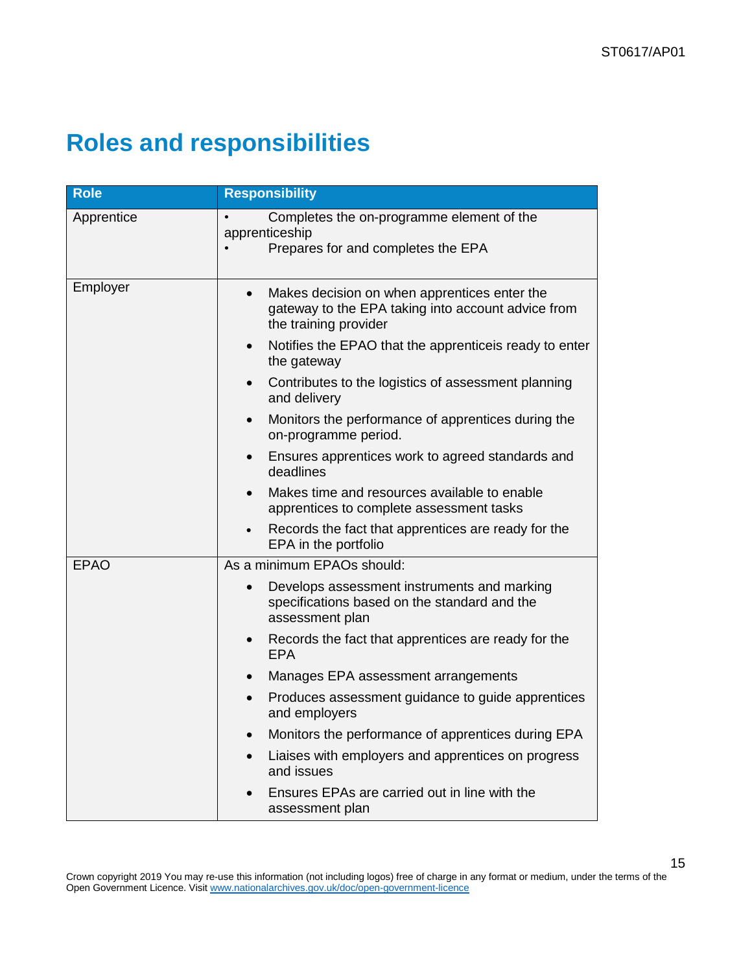# <span id="page-14-0"></span>**Roles and responsibilities**

| <b>Role</b> | <b>Responsibility</b>                                                                                                                    |
|-------------|------------------------------------------------------------------------------------------------------------------------------------------|
| Apprentice  | Completes the on-programme element of the<br>apprenticeship<br>Prepares for and completes the EPA                                        |
| Employer    | Makes decision on when apprentices enter the<br>$\bullet$<br>gateway to the EPA taking into account advice from<br>the training provider |
|             | Notifies the EPAO that the apprenticeis ready to enter<br>the gateway                                                                    |
|             | Contributes to the logistics of assessment planning<br>$\bullet$<br>and delivery                                                         |
|             | Monitors the performance of apprentices during the<br>$\bullet$<br>on-programme period.                                                  |
|             | Ensures apprentices work to agreed standards and<br>deadlines                                                                            |
|             | Makes time and resources available to enable<br>$\bullet$<br>apprentices to complete assessment tasks                                    |
|             | Records the fact that apprentices are ready for the<br>$\bullet$<br>EPA in the portfolio                                                 |
| <b>EPAO</b> | As a minimum EPAOs should:                                                                                                               |
|             | Develops assessment instruments and marking<br>specifications based on the standard and the<br>assessment plan                           |
|             | Records the fact that apprentices are ready for the<br>$\bullet$<br><b>EPA</b>                                                           |
|             | Manages EPA assessment arrangements<br>$\bullet$                                                                                         |
|             | Produces assessment guidance to guide apprentices<br>$\bullet$<br>and employers                                                          |
|             | Monitors the performance of apprentices during EPA<br>$\bullet$                                                                          |
|             | Liaises with employers and apprentices on progress<br>and issues                                                                         |
|             | Ensures EPAs are carried out in line with the<br>assessment plan                                                                         |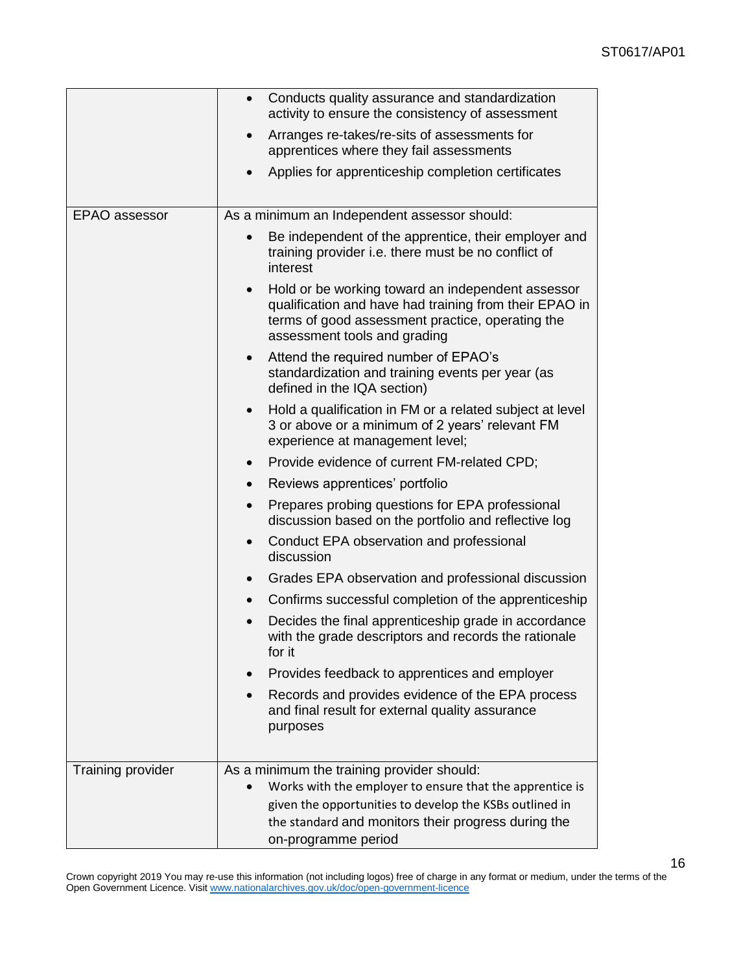|                          | Conducts quality assurance and standardization<br>activity to ensure the consistency of assessment                                                                                                                       |
|--------------------------|--------------------------------------------------------------------------------------------------------------------------------------------------------------------------------------------------------------------------|
|                          | Arranges re-takes/re-sits of assessments for<br>apprentices where they fail assessments                                                                                                                                  |
|                          | Applies for apprenticeship completion certificates                                                                                                                                                                       |
| EPAO assessor            | As a minimum an Independent assessor should:                                                                                                                                                                             |
|                          | Be independent of the apprentice, their employer and<br>training provider i.e. there must be no conflict of<br>interest                                                                                                  |
|                          | Hold or be working toward an independent assessor<br>qualification and have had training from their EPAO in<br>terms of good assessment practice, operating the<br>assessment tools and grading                          |
|                          | Attend the required number of EPAO's<br>$\bullet$<br>standardization and training events per year (as<br>defined in the IQA section)                                                                                     |
|                          | Hold a qualification in FM or a related subject at level<br>$\bullet$<br>3 or above or a minimum of 2 years' relevant FM<br>experience at management level;                                                              |
|                          | Provide evidence of current FM-related CPD;                                                                                                                                                                              |
|                          | Reviews apprentices' portfolio<br>$\bullet$                                                                                                                                                                              |
|                          | Prepares probing questions for EPA professional<br>$\bullet$<br>discussion based on the portfolio and reflective log                                                                                                     |
|                          | Conduct EPA observation and professional<br>discussion                                                                                                                                                                   |
|                          | Grades EPA observation and professional discussion<br>$\bullet$                                                                                                                                                          |
|                          | Confirms successful completion of the apprenticeship<br>$\bullet$                                                                                                                                                        |
|                          | Decides the final apprenticeship grade in accordance<br>with the grade descriptors and records the rationale<br>for it                                                                                                   |
|                          | Provides feedback to apprentices and employer                                                                                                                                                                            |
|                          | Records and provides evidence of the EPA process<br>and final result for external quality assurance<br>purposes                                                                                                          |
|                          |                                                                                                                                                                                                                          |
| <b>Training provider</b> | As a minimum the training provider should:<br>Works with the employer to ensure that the apprentice is<br>given the opportunities to develop the KSBs outlined in<br>the standard and monitors their progress during the |
|                          | on-programme period                                                                                                                                                                                                      |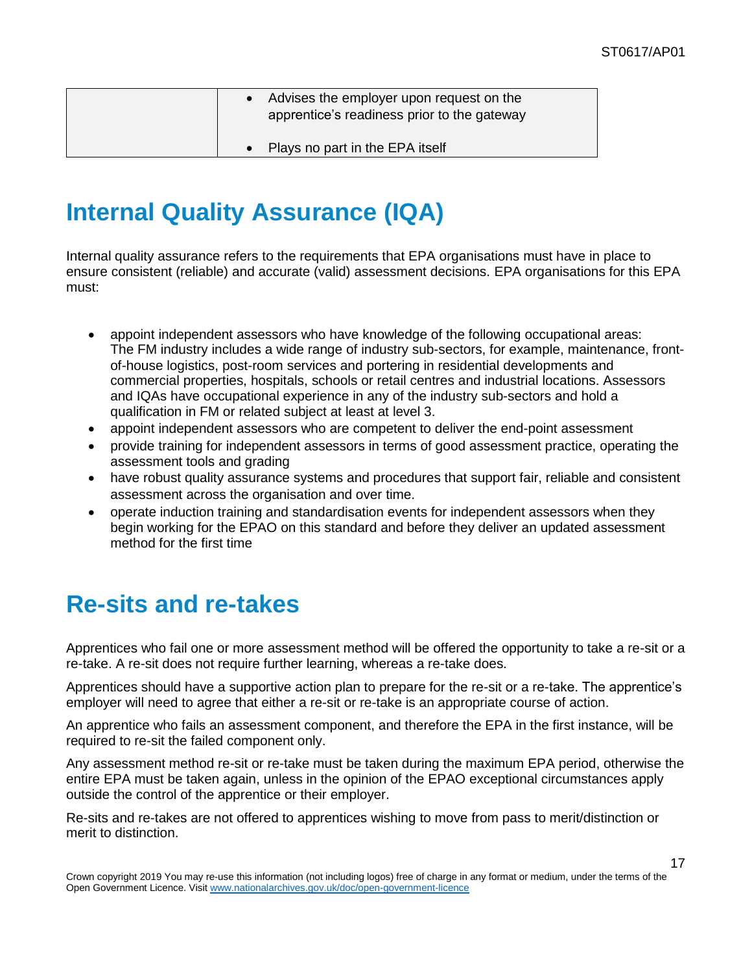| Advises the employer upon request on the<br>apprentice's readiness prior to the gateway |
|-----------------------------------------------------------------------------------------|
| Plays no part in the EPA itself                                                         |

# <span id="page-16-0"></span>**Internal Quality Assurance (IQA)**

Internal quality assurance refers to the requirements that EPA organisations must have in place to ensure consistent (reliable) and accurate (valid) assessment decisions. EPA organisations for this EPA must:

- appoint independent assessors who have knowledge of the following occupational areas: The FM industry includes a wide range of industry sub-sectors, for example, maintenance, frontof-house logistics, post-room services and portering in residential developments and commercial properties, hospitals, schools or retail centres and industrial locations. Assessors and IQAs have occupational experience in any of the industry sub-sectors and hold a qualification in FM or related subject at least at level 3.
- appoint independent assessors who are competent to deliver the end-point assessment
- provide training for independent assessors in terms of good assessment practice, operating the assessment tools and grading
- have robust quality assurance systems and procedures that support fair, reliable and consistent assessment across the organisation and over time.
- operate induction training and standardisation events for independent assessors when they begin working for the EPAO on this standard and before they deliver an updated assessment method for the first time

# <span id="page-16-1"></span>**Re-sits and re-takes**

Apprentices who fail one or more assessment method will be offered the opportunity to take a re-sit or a re-take. A re-sit does not require further learning, whereas a re-take does.

Apprentices should have a supportive action plan to prepare for the re-sit or a re-take. The apprentice's employer will need to agree that either a re-sit or re-take is an appropriate course of action.

An apprentice who fails an assessment component, and therefore the EPA in the first instance, will be required to re-sit the failed component only.

Any assessment method re-sit or re-take must be taken during the maximum EPA period, otherwise the entire EPA must be taken again, unless in the opinion of the EPAO exceptional circumstances apply outside the control of the apprentice or their employer.

Re-sits and re-takes are not offered to apprentices wishing to move from pass to merit/distinction or merit to distinction.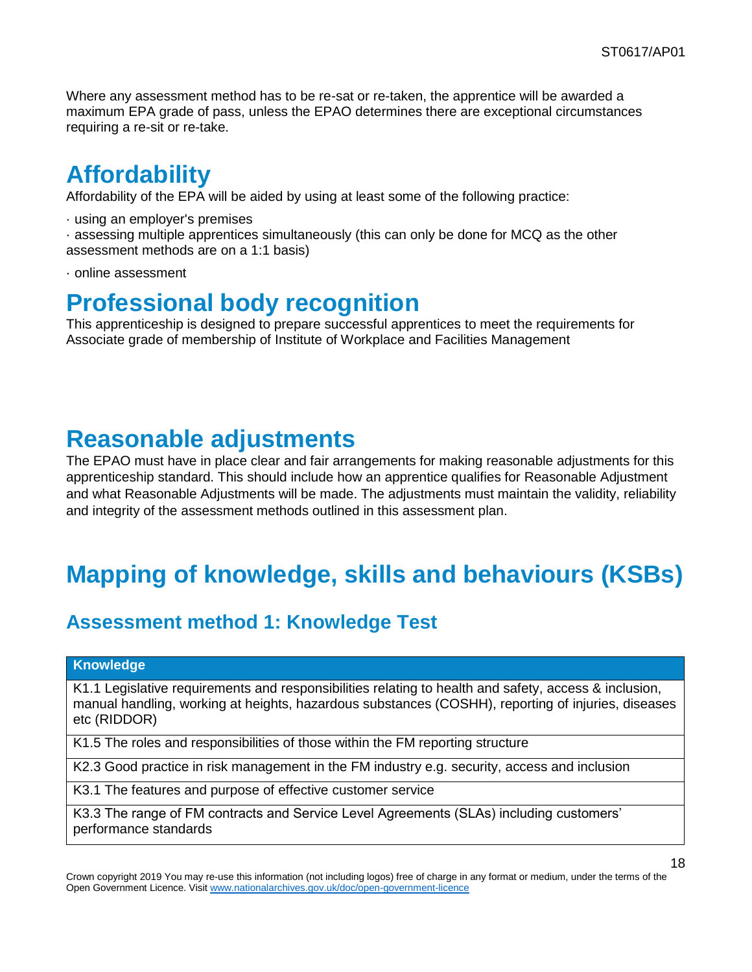Where any assessment method has to be re-sat or re-taken, the apprentice will be awarded a maximum EPA grade of pass, unless the EPAO determines there are exceptional circumstances requiring a re-sit or re-take.

## <span id="page-17-0"></span>**Affordability**

Affordability of the EPA will be aided by using at least some of the following practice:

· using an employer's premises

· assessing multiple apprentices simultaneously (this can only be done for MCQ as the other assessment methods are on a 1:1 basis)

· online assessment

# <span id="page-17-1"></span>**Professional body recognition**

This apprenticeship is designed to prepare successful apprentices to meet the requirements for Associate grade of membership of Institute of Workplace and Facilities Management

# <span id="page-17-2"></span>**Reasonable adjustments**

The EPAO must have in place clear and fair arrangements for making reasonable adjustments for this apprenticeship standard. This should include how an apprentice qualifies for Reasonable Adjustment and what Reasonable Adjustments will be made. The adjustments must maintain the validity, reliability and integrity of the assessment methods outlined in this assessment plan.

# <span id="page-17-3"></span>**Mapping of knowledge, skills and behaviours (KSBs)**

## **Assessment method 1: Knowledge Test**

#### **Knowledge**

K1.1 Legislative requirements and responsibilities relating to health and safety, access & inclusion, manual handling, working at heights, hazardous substances (COSHH), reporting of injuries, diseases etc (RIDDOR)

K1.5 The roles and responsibilities of those within the FM reporting structure

K2.3 Good practice in risk management in the FM industry e.g. security, access and inclusion

K3.1 The features and purpose of effective customer service

K3.3 The range of FM contracts and Service Level Agreements (SLAs) including customers' performance standards

Crown copyright 2019 You may re-use this information (not including logos) free of charge in any format or medium, under the terms of the Open Government Licence. Visi[t www.nationalarchives.gov.uk/doc/open-government-licence](http://www.nationalarchives.gov.uk/doc/open-government-licence)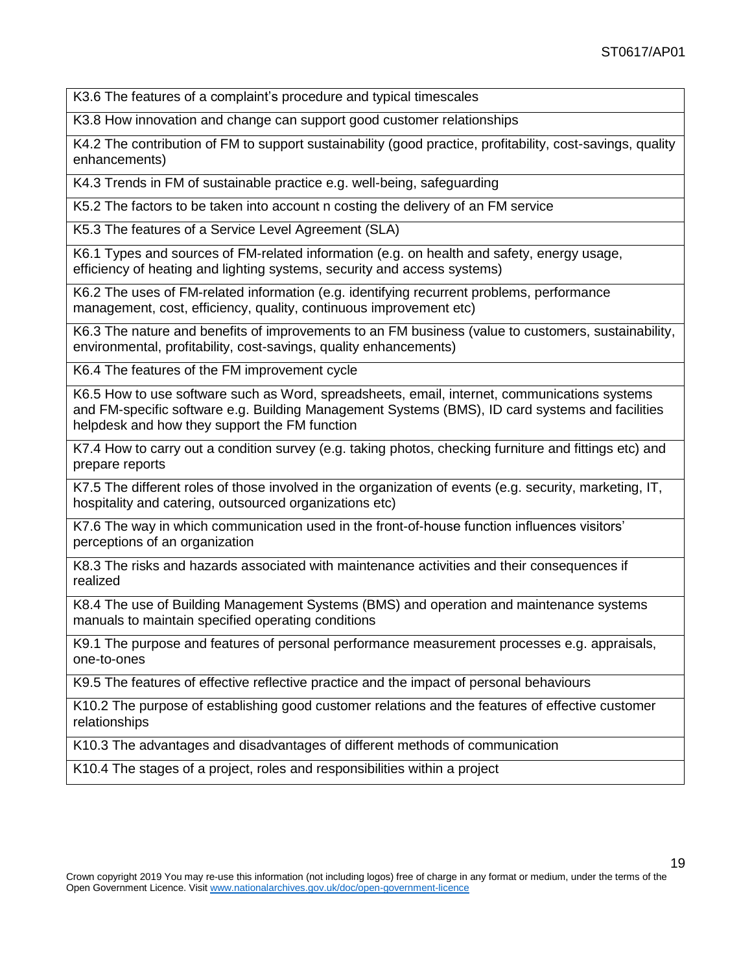K3.6 The features of a complaint's procedure and typical timescales

K3.8 How innovation and change can support good customer relationships

K4.2 The contribution of FM to support sustainability (good practice, profitability, cost-savings, quality enhancements)

K4.3 Trends in FM of sustainable practice e.g. well-being, safeguarding

K5.2 The factors to be taken into account n costing the delivery of an FM service

K5.3 The features of a Service Level Agreement (SLA)

K6.1 Types and sources of FM-related information (e.g. on health and safety, energy usage, efficiency of heating and lighting systems, security and access systems)

K6.2 The uses of FM-related information (e.g. identifying recurrent problems, performance management, cost, efficiency, quality, continuous improvement etc)

K6.3 The nature and benefits of improvements to an FM business (value to customers, sustainability, environmental, profitability, cost-savings, quality enhancements)

K6.4 The features of the FM improvement cycle

K6.5 How to use software such as Word, spreadsheets, email, internet, communications systems and FM-specific software e.g. Building Management Systems (BMS), ID card systems and facilities helpdesk and how they support the FM function

K7.4 How to carry out a condition survey (e.g. taking photos, checking furniture and fittings etc) and prepare reports

K7.5 The different roles of those involved in the organization of events (e.g. security, marketing, IT, hospitality and catering, outsourced organizations etc)

K7.6 The way in which communication used in the front-of-house function influences visitors' perceptions of an organization

K8.3 The risks and hazards associated with maintenance activities and their consequences if realized

K8.4 The use of Building Management Systems (BMS) and operation and maintenance systems manuals to maintain specified operating conditions

K9.1 The purpose and features of personal performance measurement processes e.g. appraisals, one-to-ones

K9.5 The features of effective reflective practice and the impact of personal behaviours

K10.2 The purpose of establishing good customer relations and the features of effective customer relationships

K10.3 The advantages and disadvantages of different methods of communication

K10.4 The stages of a project, roles and responsibilities within a project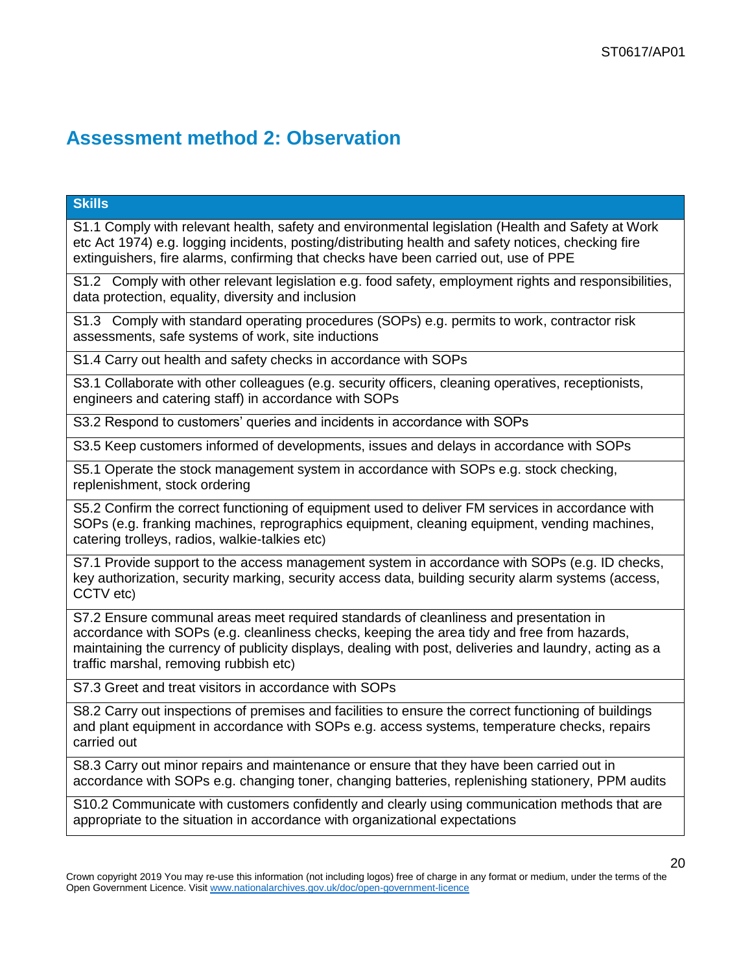## **Assessment method 2: Observation**

### **Skills**

S1.1 Comply with relevant health, safety and environmental legislation (Health and Safety at Work etc Act 1974) e.g. logging incidents, posting/distributing health and safety notices, checking fire extinguishers, fire alarms, confirming that checks have been carried out, use of PPE

S1.2 Comply with other relevant legislation e.g. food safety, employment rights and responsibilities, data protection, equality, diversity and inclusion

S1.3 Comply with standard operating procedures (SOPs) e.g. permits to work, contractor risk assessments, safe systems of work, site inductions

S1.4 Carry out health and safety checks in accordance with SOPs

S3.1 Collaborate with other colleagues (e.g. security officers, cleaning operatives, receptionists, engineers and catering staff) in accordance with SOPs

S3.2 Respond to customers' queries and incidents in accordance with SOPs

S3.5 Keep customers informed of developments, issues and delays in accordance with SOPs

S5.1 Operate the stock management system in accordance with SOPs e.g. stock checking, replenishment, stock ordering

S5.2 Confirm the correct functioning of equipment used to deliver FM services in accordance with SOPs (e.g. franking machines, reprographics equipment, cleaning equipment, vending machines, catering trolleys, radios, walkie-talkies etc)

S7.1 Provide support to the access management system in accordance with SOPs (e.g. ID checks, key authorization, security marking, security access data, building security alarm systems (access, CCTV etc)

S7.2 Ensure communal areas meet required standards of cleanliness and presentation in accordance with SOPs (e.g. cleanliness checks, keeping the area tidy and free from hazards, maintaining the currency of publicity displays, dealing with post, deliveries and laundry, acting as a traffic marshal, removing rubbish etc)

S7.3 Greet and treat visitors in accordance with SOPs

S8.2 Carry out inspections of premises and facilities to ensure the correct functioning of buildings and plant equipment in accordance with SOPs e.g. access systems, temperature checks, repairs carried out

S8.3 Carry out minor repairs and maintenance or ensure that they have been carried out in accordance with SOPs e.g. changing toner, changing batteries, replenishing stationery, PPM audits

S10.2 Communicate with customers confidently and clearly using communication methods that are appropriate to the situation in accordance with organizational expectations

Crown copyright 2019 You may re-use this information (not including logos) free of charge in any format or medium, under the terms of the Open Government Licence. Visi[t www.nationalarchives.gov.uk/doc/open-government-licence](http://www.nationalarchives.gov.uk/doc/open-government-licence)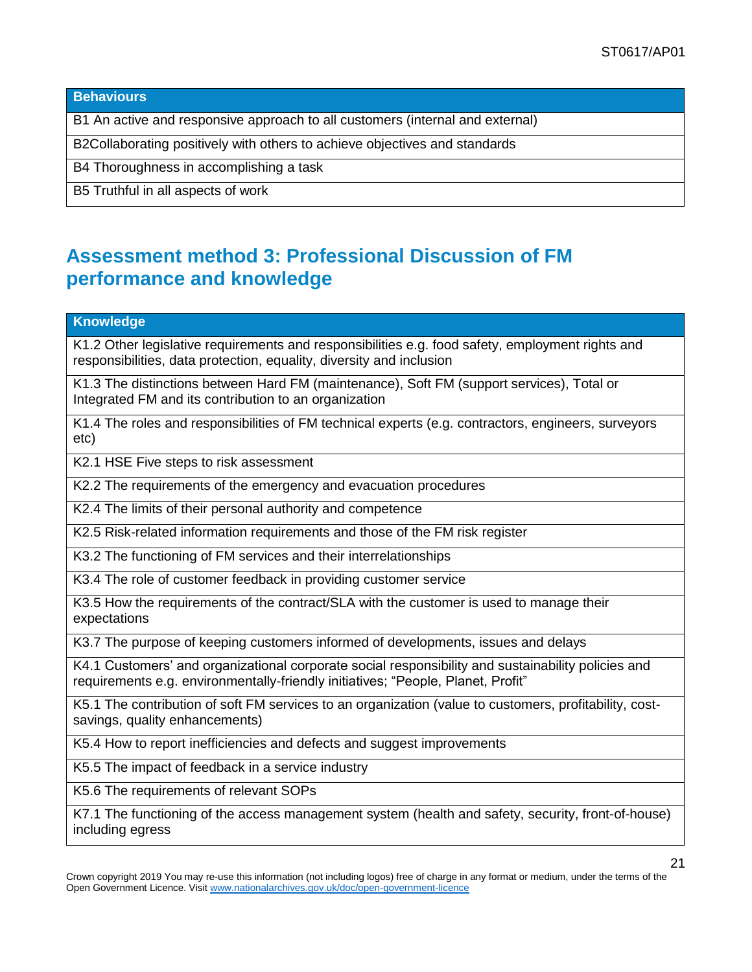**Behaviours**

B1 An active and responsive approach to all customers (internal and external)

B2Collaborating positively with others to achieve objectives and standards

B4 Thoroughness in accomplishing a task

B5 Truthful in all aspects of work

## **Assessment method 3: Professional Discussion of FM performance and knowledge**

**Knowledge**

K1.2 Other legislative requirements and responsibilities e.g. food safety, employment rights and responsibilities, data protection, equality, diversity and inclusion

K1.3 The distinctions between Hard FM (maintenance), Soft FM (support services), Total or Integrated FM and its contribution to an organization

K1.4 The roles and responsibilities of FM technical experts (e.g. contractors, engineers, surveyors etc)

K2.1 HSE Five steps to risk assessment

K2.2 The requirements of the emergency and evacuation procedures

K2.4 The limits of their personal authority and competence

K2.5 Risk-related information requirements and those of the FM risk register

K3.2 The functioning of FM services and their interrelationships

K3.4 The role of customer feedback in providing customer service

K3.5 How the requirements of the contract/SLA with the customer is used to manage their expectations

K3.7 The purpose of keeping customers informed of developments, issues and delays

K4.1 Customers' and organizational corporate social responsibility and sustainability policies and requirements e.g. environmentally-friendly initiatives; "People, Planet, Profit"

K5.1 The contribution of soft FM services to an organization (value to customers, profitability, costsavings, quality enhancements)

K5.4 How to report inefficiencies and defects and suggest improvements

K5.5 The impact of feedback in a service industry

K5.6 The requirements of relevant SOPs

K7.1 The functioning of the access management system (health and safety, security, front-of-house) including egress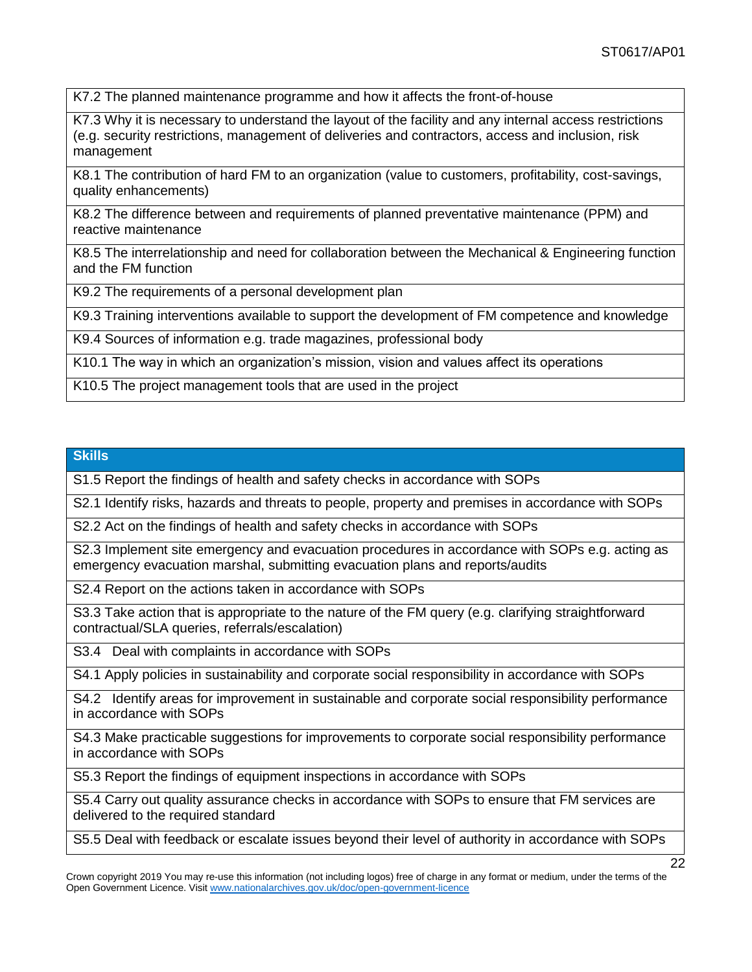K7.2 The planned maintenance programme and how it affects the front-of-house

K7.3 Why it is necessary to understand the layout of the facility and any internal access restrictions (e.g. security restrictions, management of deliveries and contractors, access and inclusion, risk management

K8.1 The contribution of hard FM to an organization (value to customers, profitability, cost-savings, quality enhancements)

K8.2 The difference between and requirements of planned preventative maintenance (PPM) and reactive maintenance

K8.5 The interrelationship and need for collaboration between the Mechanical & Engineering function and the FM function

K9.2 The requirements of a personal development plan

K9.3 Training interventions available to support the development of FM competence and knowledge

K9.4 Sources of information e.g. trade magazines, professional body

K10.1 The way in which an organization's mission, vision and values affect its operations

K10.5 The project management tools that are used in the project

#### **Skills**

S1.5 Report the findings of health and safety checks in accordance with SOPs

S2.1 Identify risks, hazards and threats to people, property and premises in accordance with SOPs

S2.2 Act on the findings of health and safety checks in accordance with SOPs

S2.3 Implement site emergency and evacuation procedures in accordance with SOPs e.g. acting as emergency evacuation marshal, submitting evacuation plans and reports/audits

S2.4 Report on the actions taken in accordance with SOPs

S3.3 Take action that is appropriate to the nature of the FM query (e.g. clarifying straightforward contractual/SLA queries, referrals/escalation)

S3.4 Deal with complaints in accordance with SOPs

S4.1 Apply policies in sustainability and corporate social responsibility in accordance with SOPs

S4.2 Identify areas for improvement in sustainable and corporate social responsibility performance in accordance with SOPs

S4.3 Make practicable suggestions for improvements to corporate social responsibility performance in accordance with SOPs

S5.3 Report the findings of equipment inspections in accordance with SOPs

S5.4 Carry out quality assurance checks in accordance with SOPs to ensure that FM services are delivered to the required standard

S5.5 Deal with feedback or escalate issues beyond their level of authority in accordance with SOPs

Crown copyright 2019 You may re-use this information (not including logos) free of charge in any format or medium, under the terms of the Open Government Licence. Visi[t www.nationalarchives.gov.uk/doc/open-government-licence](http://www.nationalarchives.gov.uk/doc/open-government-licence)